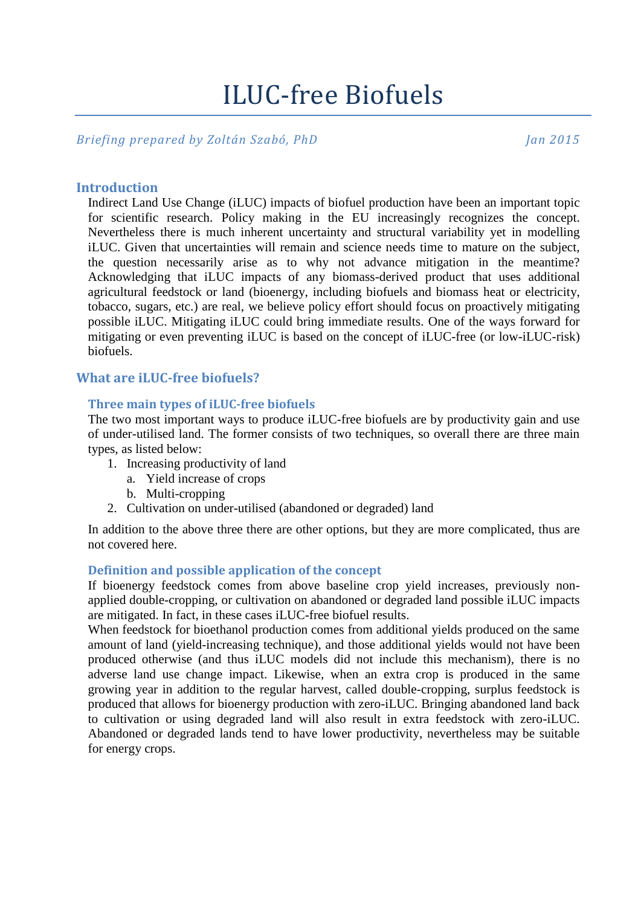# ILUC-free Biofuels

*Briefing prepared by Zoltán Szabó, PhD Jan 2015*

# **Introduction**

Indirect Land Use Change (iLUC) impacts of biofuel production have been an important topic for scientific research. Policy making in the EU increasingly recognizes the concept. Nevertheless there is much inherent uncertainty and structural variability yet in modelling iLUC. Given that uncertainties will remain and science needs time to mature on the subject, the question necessarily arise as to why not advance mitigation in the meantime? Acknowledging that iLUC impacts of any biomass-derived product that uses additional agricultural feedstock or land (bioenergy, including biofuels and biomass heat or electricity, tobacco, sugars, etc.) are real, we believe policy effort should focus on proactively mitigating possible iLUC. Mitigating iLUC could bring immediate results. One of the ways forward for mitigating or even preventing iLUC is based on the concept of iLUC-free (or low-iLUC-risk) **biofuels**.

# **What are iLUC-free biofuels?**

### **Three main types of iLUC-free biofuels**

The two most important ways to produce iLUC-free biofuels are by productivity gain and use of under-utilised land. The former consists of two techniques, so overall there are three main types, as listed below:

- 1. Increasing productivity of land
	- a. Yield increase of crops
	- b. Multi-cropping
- 2. Cultivation on under-utilised (abandoned or degraded) land

In addition to the above three there are other options, but they are more complicated, thus are not covered here.

# **Definition and possible application of the concept**

If bioenergy feedstock comes from above baseline crop yield increases, previously nonapplied double-cropping, or cultivation on abandoned or degraded land possible iLUC impacts are mitigated. In fact, in these cases iLUC-free biofuel results.

When feedstock for bioethanol production comes from additional yields produced on the same amount of land (yield-increasing technique), and those additional yields would not have been produced otherwise (and thus iLUC models did not include this mechanism), there is no adverse land use change impact. Likewise, when an extra crop is produced in the same growing year in addition to the regular harvest, called double-cropping, surplus feedstock is produced that allows for bioenergy production with zero-iLUC. Bringing abandoned land back to cultivation or using degraded land will also result in extra feedstock with zero-iLUC. Abandoned or degraded lands tend to have lower productivity, nevertheless may be suitable for energy crops.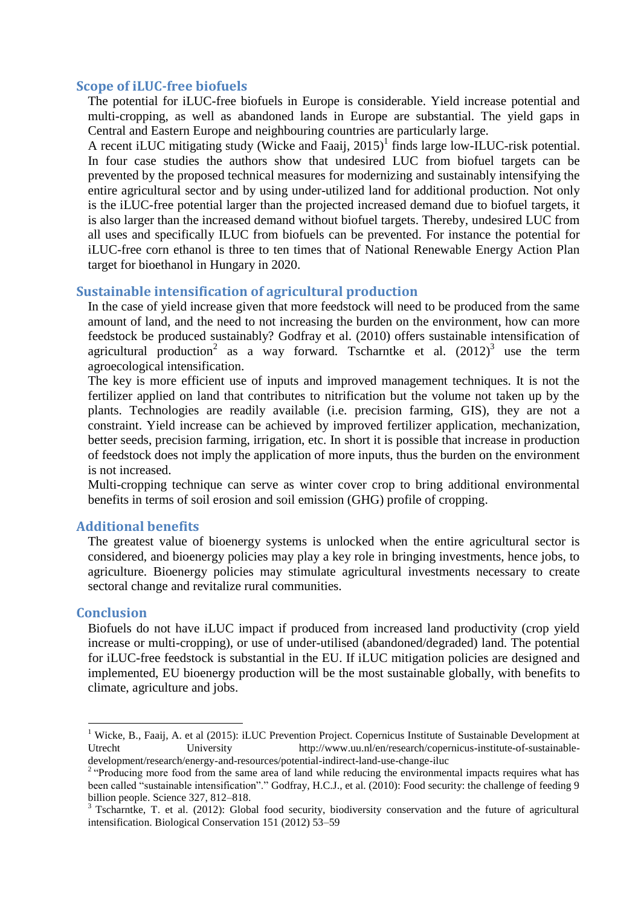### **Scope of iLUC-free biofuels**

The potential for iLUC-free biofuels in Europe is considerable. Yield increase potential and multi-cropping, as well as abandoned lands in Europe are substantial. The yield gaps in Central and Eastern Europe and neighbouring countries are particularly large.

A recent iLUC mitigating study (Wicke and Faaij, 2015) 1 finds large low-ILUC-risk potential. In four case studies the authors show that undesired LUC from biofuel targets can be prevented by the proposed technical measures for modernizing and sustainably intensifying the entire agricultural sector and by using under-utilized land for additional production. Not only is the iLUC-free potential larger than the projected increased demand due to biofuel targets, it is also larger than the increased demand without biofuel targets. Thereby, undesired LUC from all uses and specifically ILUC from biofuels can be prevented. For instance the potential for iLUC-free corn ethanol is three to ten times that of National Renewable Energy Action Plan target for bioethanol in Hungary in 2020.

### **Sustainable intensification of agricultural production**

In the case of yield increase given that more feedstock will need to be produced from the same amount of land, and the need to not increasing the burden on the environment, how can more feedstock be produced sustainably? Godfray et al. (2010) offers sustainable intensification of agricultural production<sup>2</sup> as a way forward. [Tscharntke](http://www.sciencedirect.com/science/article/pii/S0006320712000821) et al.  $(2012)^3$  use the term agroecological intensification.

The key is more efficient use of inputs and improved management techniques. It is not the fertilizer applied on land that contributes to nitrification but the volume not taken up by the plants. Technologies are readily available (i.e. precision farming, GIS), they are not a constraint. Yield increase can be achieved by improved fertilizer application, mechanization, better seeds, precision farming, irrigation, etc. In short it is possible that increase in production of feedstock does not imply the application of more inputs, thus the burden on the environment is not increased.

Multi-cropping technique can serve as winter cover crop to bring additional environmental benefits in terms of soil erosion and soil emission (GHG) profile of cropping.

### **Additional benefits**

The greatest value of bioenergy systems is unlocked when the entire agricultural sector is considered, and bioenergy policies may play a key role in bringing investments, hence jobs, to agriculture. Bioenergy policies may stimulate agricultural investments necessary to create sectoral change and revitalize rural communities.

### **Conclusion**

1

Biofuels do not have iLUC impact if produced from increased land productivity (crop yield increase or multi-cropping), or use of under-utilised (abandoned/degraded) land. The potential for iLUC-free feedstock is substantial in the EU. If iLUC mitigation policies are designed and implemented, EU bioenergy production will be the most sustainable globally, with benefits to climate, agriculture and jobs.

<sup>&</sup>lt;sup>1</sup> Wicke, B., Faaij, A. et al (2015): iLUC Prevention Project. Copernicus Institute of Sustainable Development at Utrecht University http://www.uu.nl/en/research/copernicus-institute-of-sustainabledevelopment/research/energy-and-resources/potential-indirect-land-use-change-iluc

<sup>&</sup>lt;sup>2</sup> "Producing more food from the same area of land while reducing the environmental impacts requires what has been called "sustainable intensification"." Godfray, H.C.J., et al. (2010): Food security: the challenge of feeding 9 billion people. Science 327, 812–818.

<sup>&</sup>lt;sup>3</sup> Tscharntke, T. et al. (2012): Global food security, biodiversity conservation and the future of agricultural intensification. Biological Conservation 151 (2012) 53–59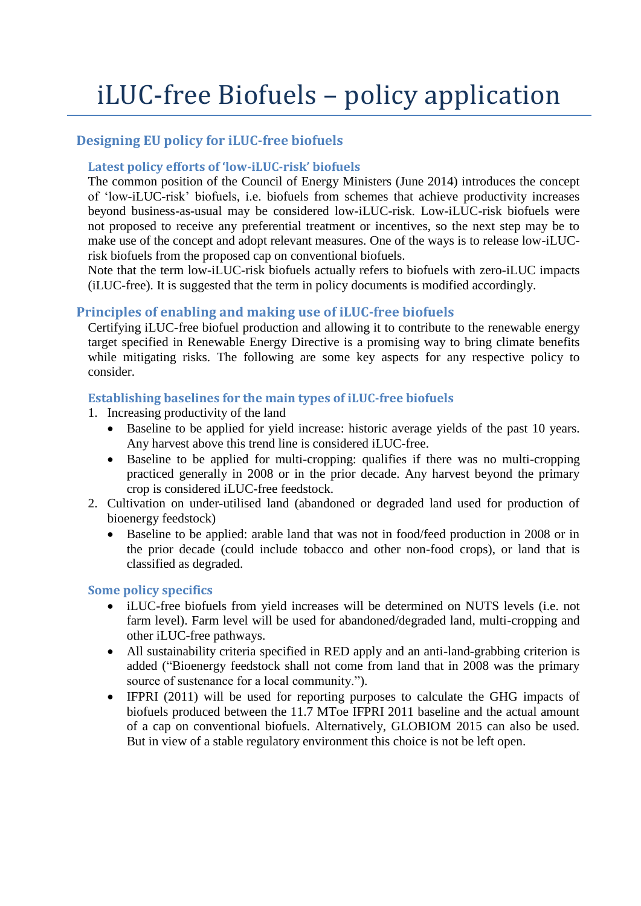# iLUC-free Biofuels – policy application

# **Designing EU policy for iLUC-free biofuels**

# **Latest policy efforts of 'low-iLUC-risk' biofuels**

The common position of the Council of Energy Ministers (June 2014) introduces the concept of 'low-iLUC-risk' biofuels, i.e. biofuels from schemes that achieve productivity increases beyond business-as-usual may be considered low-iLUC-risk. Low-iLUC-risk biofuels were not proposed to receive any preferential treatment or incentives, so the next step may be to make use of the concept and adopt relevant measures. One of the ways is to release low-iLUCrisk biofuels from the proposed cap on conventional biofuels.

Note that the term low-iLUC-risk biofuels actually refers to biofuels with zero-iLUC impacts (iLUC-free). It is suggested that the term in policy documents is modified accordingly.

# **Principles of enabling and making use of iLUC-free biofuels**

Certifying iLUC-free biofuel production and allowing it to contribute to the renewable energy target specified in Renewable Energy Directive is a promising way to bring climate benefits while mitigating risks. The following are some key aspects for any respective policy to consider.

# **Establishing baselines for the main types of iLUC-free biofuels**

- 1. Increasing productivity of the land
	- Baseline to be applied for yield increase: historic average yields of the past 10 years. Any harvest above this trend line is considered iLUC-free.
	- Baseline to be applied for multi-cropping: qualifies if there was no multi-cropping practiced generally in 2008 or in the prior decade. Any harvest beyond the primary crop is considered iLUC-free feedstock.
- 2. Cultivation on under-utilised land (abandoned or degraded land used for production of bioenergy feedstock)
	- Baseline to be applied: arable land that was not in food/feed production in 2008 or in the prior decade (could include tobacco and other non-food crops), or land that is classified as degraded.

# **Some policy specifics**

- iLUC-free biofuels from yield increases will be determined on NUTS levels (i.e. not farm level). Farm level will be used for abandoned/degraded land, multi-cropping and other iLUC-free pathways.
- All sustainability criteria specified in RED apply and an anti-land-grabbing criterion is added ("Bioenergy feedstock shall not come from land that in 2008 was the primary source of sustenance for a local community.").
- IFPRI (2011) will be used for reporting purposes to calculate the GHG impacts of biofuels produced between the 11.7 MToe IFPRI 2011 baseline and the actual amount of a cap on conventional biofuels. Alternatively, GLOBIOM 2015 can also be used. But in view of a stable regulatory environment this choice is not be left open.